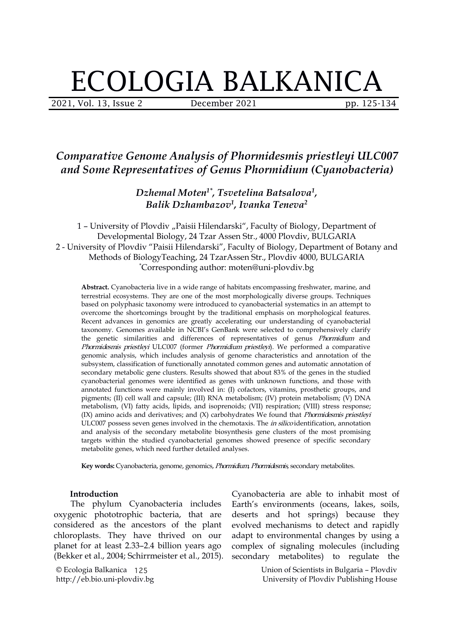# ECOLOGIA BALKANICA

2021, Vol. 13, Issue 2 **December 2021** pp. 125-134

## *Comparative Genome Analysis of Phormidesmis priestleyi ULC007 and Some Representatives of Genus Phormidium (Cyanobacteria)*

*Dzhemal Moten 1\* , Tsvetelina Batsalova 1 , Balik Dzhambazov 1 , Ivanka Teneva 2*

1 - University of Plovdiv "Paisii Hilendarski", Faculty of Biology, Department of Developmental Biology, 24 Tzar Assen Str., 4000 Plovdiv, BULGARIA 2 - University of Plovdiv "Paisii Hilendarski", Faculty of Biology, Department of Botany and Methods of BiologyTeaching, 24 TzarAssen Str., Plovdiv 4000, BULGARIA \*Corresponding author: moten@uni-plovdiv.bg

**Abstract.** Cyanobacteria live in a wide range of habitats encompassing freshwater, marine, and terrestrial ecosystems. They are one of the most morphologically diverse groups. Techniques based on polyphasic taxonomy were introduced to cyanobacterial systematics in an attempt to overcome the shortcomings brought by the traditional emphasis on morphological features. Recent advances in genomics are greatly accelerating our understanding of cyanobacterial taxonomy. Genomes available in NCBI's GenBank were selected to comprehensively clarify the genetic similarities and differences of representatives of genus *Phormidium* and Phormidesmis priestleyi ULC007 (former Phormidium priestleyi). We performed a comparative genomic analysis, which includes analysis of genome characteristics and annotation of the subsystem, classification of functionally annotated common genes and automatic annotation of secondary metabolic gene clusters. Results showed that about 83% of the genes in the studied cyanobacterial genomes were identified as genes with unknown functions, and those with annotated functions were mainly involved in: (I) cofactors, vitamins, prosthetic groups, and pigments; (II) cell wall and capsule; (III) RNA metabolism; (IV) protein metabolism; (V) DNA metabolism, (VI) fatty acids, lipids, and isoprenoids; (VII) respiration; (VIII) stress response;  $(IX)$  amino acids and derivatives; and  $(X)$  carbohydrates We found that *Phormidesmis priestleyi* ULC007 possess seven genes involved in the chemotaxis. The *in silico* identification, annotation and analysis of the secondary metabolite biosynthesis gene clusters of the most promising targets within the studied cyanobacterial genomes showed presence of specific secondary metabolite genes, which need further detailed analyses.

**Key words:** Cyanobacteria, genome, genomics, Phormidium, Phormidesmis, secondary metabolites.

#### **Introduction**

The phylum Cyanobacteria includes oxygenic phototrophic bacteria, that are considered as the ancestors of the plant chloroplasts. They have thrived on our planet for at least 2.33–2.4 billion years ago (Bekker et al., 2004; Schirrmeister et al., 2015).

© Ecologia Balkanica 125 http://eb.bio.uni-plovdiv.bg

Cyanobacteria are able to inhabit most of Earth's environments (oceans, lakes, soils, deserts and hot springs) because they evolved mechanisms to detect and rapidly adapt to environmental changes by using a complex of signaling molecules (including secondary metabolites) to regulate the

> Union of Scientists in Bulgaria – Plovdiv University of Plovdiv Publishing House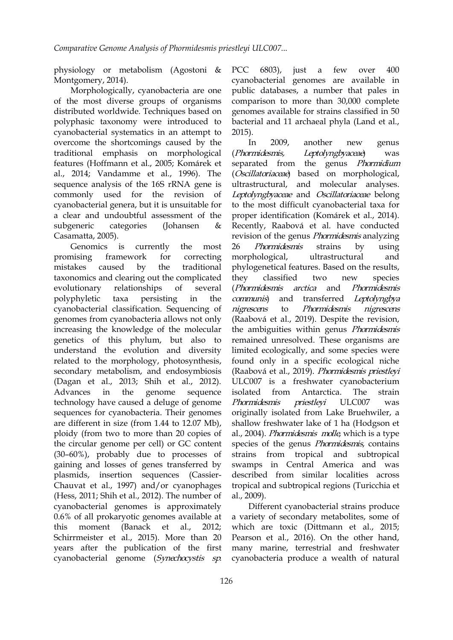physiology or metabolism (Agostoni & Montgomery, 2014).

Morphologically, cyanobacteria are one of the most diverse groups of organisms distributed worldwide. Techniques based on polyphasic taxonomy were introduced to cyanobacterial systematics in an attempt to 2015). overcome the shortcomings caused by the In 2009, traditional emphasis on morphological (Phormidesmis, features (Hoffmann et al., 2005; Komárek et al., 2014; Vandamme et al., 1996). The sequence analysis of the 16S rRNA gene is commonly used for the revision of cyanobacterial genera, but it is unsuitable for a clear and undoubtful assessment of the proper identification (Komárek et al., 2014). Casamatta, 2005).

Genomics is currently the most 26 mistakes caused by the traditional taxonomics and clearing out the complicated they classified two evolutionary relationships of several polyphyletic taxa persisting in the *communis*) and cyanobacterial classification. Sequencing of *nigrescens* to genomes from cyanobacteria allows not only increasing the knowledge of the molecular genetics of this phylum, but also to understand the evolution and diversity related to the morphology, photosynthesis, secondary metabolism, and endosymbiosis (Dagan et al., 2013; Shih et al., 2012). Advances in the genome sequence isolated from technology have caused a deluge of genome Phormidesmis priestleyi sequences for cyanobacteria. Their genomes are different in size (from 1.44 to 12.07 Mb), ploidy (from two to more than 20 copies of the circular genome per cell) or GC content (30–60%), probably due to processes of gaining and losses of genes transferred by plasmids, insertion sequences (Cassier- Chauvat et al., 1997) and/or cyanophages (Hess, 2011; Shih et al., 2012). The number of cyanobacterial genomes is approximately 0.6% of all prokaryotic genomes available at this moment (Banack et al., 2012; Schirrmeister et al., 2015). More than 20 years after the publication of the first cyanobacterial genome (Synechocystis sp.

PCC 6803), just a few over 400 cyanobacterial genomes are available in public databases, a number that pales in comparison to more than 30,000 complete genomes available for strains classified in 50 bacterial and 11 archaeal phyla (Land et al.,

a clear and undoubtful assessment of the proper identification (Komárek et al., 2014).<br>subgeneric categories (Johansen & Recently, Raabová et al. have conducted promising framework for correcting morphological, ultrastructural and 2015).<br>In 2009, another new genus Leptolyngbyaceae) was separated from the genus Phormidium (Oscillatoriaceae) based on morphological, ultrastructural, and molecular analyses. Leptolyngbyaceae and Oscillatoriaceae belong to the most difficult cyanobacterial taxa for revision of the genus *Phormidesmis* analyzing Phormidesmis strains by using phylogenetical features. Based on the results, classified two new species (Phormidesmis arctica and Phormidesmis transferred Leptolyngbya Phormidesmis nigrescens (Raabová et al., 2019). Despite the revision, the ambiguities within genus Phormidesmis remained unresolved. These organisms are limited ecologically, and some species were found only in a specific ecological niche (Raabová et al., 2019). Phormidesmis priestleyi ULC007 is a freshwater cyanobacterium Antarctica. The strain Phormidesmis priestlevi ULC007 was originally isolated from Lake Bruehwiler, a shallow freshwater lake of 1 ha (Hodgson et al., 2004). Phormidesmis molle, which is a type species of the genus Phormidesmis, contains strains from tropical and subtropical swamps in Central America and was described from similar localities across tropical and subtropical regions (Turicchia et al., 2009).

> Different cyanobacterial strains produce a variety of secondary metabolites, some of which are toxic (Dittmann et al., 2015; Pearson et al., 2016). On the other hand, many marine, terrestrial and freshwater cyanobacteria produce a wealth of natural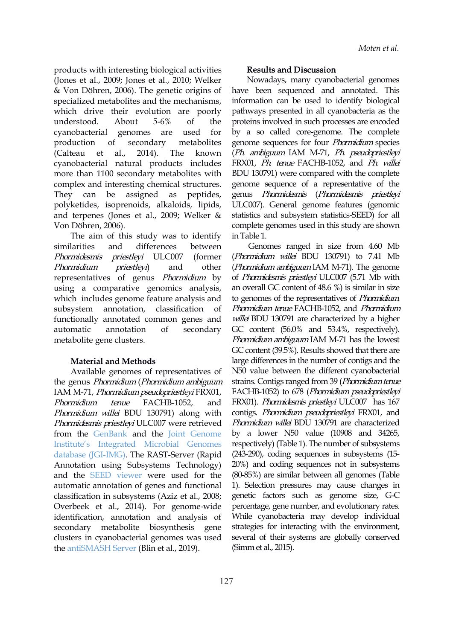products with interesting biological activities (Jones et al., 2009; Jones et al., 2010; Welker & Von Döhren, 2006). The genetic origins of specialized metabolites and the mechanisms, which drive their evolution are poorly cyanobacterial natural products includes more than 1100 secondary metabolites with complex and interesting chemical structures. They can be assigned as peptides, polyketides, isoprenoids, alkaloids, lipids, and terpenes (Jones et al., 2009; Welker & Von Döhren, 2006).

The aim of this study was to identify similarities and differences between Genomes ranged in size from 4.60 Mb *Phormidesmis priestleyi* ULC007 (former (*Phormidium willei* BDU 130791) to 7.41 Mb *Phormidium priestleyi*) and other (*Phormidium ambiguum* IAM M-71). The genome representatives of genus Phormidium by using a comparative genomics analysis, which includes genome feature analysis and subsystem annotation, classification of *Phormidium tenue* FACHB-1052,and *Phormidium* functionally annotated common genes and automatic annotation of secondary GC content (56.0% and 53.4%, respectively). metabolite gene clusters.

#### **Material and Methods**

Available genomes of representatives of the genus Phormidium (Phormidium ambiguum IAM M-71, Phormidium pseudopriestleyi FRX01, *Phormidium tenue* FACHB-1052, and FRX01). *Phormidesmis priestleyi* ULC007 has 167 Phormidium willei BDU 130791) along with Phormidesmis priestleyi ULC007 were retrieved from the [GenBank](https://www.ncbi.nlm.nih.gov/) and the Joint [Genome](https://genome.jgi.doe.gov/portal/) Institute's Integrated Microbial Genomes database (JGI-IMG). The RAST-Server (Rapid Annotation using Subsystems Technology) and the SEED [viewer](https://rast.nmpdr.org/) were used for the automatic annotation of genes and functional classification in subsystems (Aziz et al., 2008; Overbeek et al., 2014). For genome-wide identification, annotation and analysis of secondary metabolite biosynthesis gene clusters in cyanobacterial genomes was used the [antiSMASH](https://antismash.secondarymetabolites.org/) Server (Blin et al., 2019).

#### Results and Discussion

understood. About 5-6% of the proteins involved in such processes are encoded cyanobacterial genomes are used for by a so called core-genome. The complete production of secondary metabolites genome-sequences-for-four-*Phormidium*-species (Calteau et al., 2014). The known (*Ph. ambiguum*-IAM-M-71, *Ph. pseudopriestleyi* Nowadays, many cyanobacterial genomes have been sequenced and annotated. This information can be used to identify biological pathways presented in all cyanobacteria as the FRX01, Ph. tenue FACHB-1052, and Ph. willei BDU 130791) were compared with the complete genome sequence of a representative of the genus Phormidesmis (Phormidesmis priestleyi ULC007). General genome features (genomic statistics and subsystem statistics-SEED) for all complete genomes used in this study areshown in Table 1.

> of Phormidesmis priestleyi ULC007 (5.71 Mb with an overall GC content of 48.6 %) is similar in size to genomes of the representatives of *Phormidium*. willei BDU 130791 are characterized by a higher Phormidium ambiguum IAM M-71 has the lowest GC content (39.5%). Results showed that there are large differences in the number of contigs and the N50 value between the different cyanobacterial strains. Contigs ranged from 39 (Phormidium tenue FACHB-1052) to 678 (Phormidium pseudopriestleyi contigs. Phormidium pseudopriestleyi FRX01, and Phormidium willei BDU 130791 are characterized by a lower N50 value (10908 and 34265, respectively) (Table 1). The number of subsystems (243-290), coding sequences in subsystems (15- 20%) and coding sequences not in subsystems (80-85%) are similar between all genomes (Table 1). Selection pressures may cause changes in genetic factors such as genome size, G-C percentage, gene number, and evolutionary rates. While cyanobacteria may develop individual strategies for interacting with the environment, several of their systems are globally conserved (Simm et al., 2015).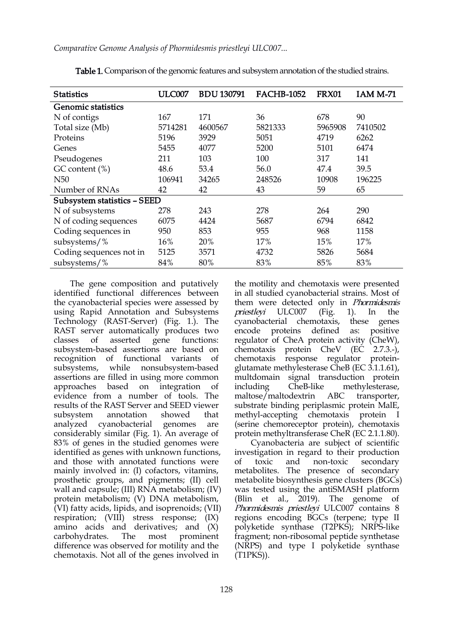*Comparative Genome Analysis of Phormidesmis priestleyi ULC007...*

| <b>Statistics</b>           | <b>ULC007</b> | <b>BDU 130791</b> | <b>FACHB-1052</b> | <b>FRX01</b> | <b>IAM M-71</b> |  |  |
|-----------------------------|---------------|-------------------|-------------------|--------------|-----------------|--|--|
| Genomic statistics          |               |                   |                   |              |                 |  |  |
| N of contigs                | 167           | 171               | 36                | 678          | 90              |  |  |
| Total size (Mb)             | 5714281       | 4600567           | 5821333           | 5965908      | 7410502         |  |  |
| Proteins                    | 5196          | 3929              | 5051              | 4719         | 6262            |  |  |
| Genes                       | 5455          | 4077              | 5200              | 5101         | 6474            |  |  |
| Pseudogenes                 | 211           | 103               | 100               | 317          | 141             |  |  |
| $GC content (*)$            | 48.6          | 53.4              | 56.0              | 47.4         | 39.5            |  |  |
| N <sub>50</sub>             | 106941        | 34265             | 248526            | 10908        | 196225          |  |  |
| Number of RNAs              | 42            | 42                | 43                | 59           | 65              |  |  |
| Subsystem statistics - SEED |               |                   |                   |              |                 |  |  |
| N of subsystems             | 278           | 243               | 278               | 264          | 290             |  |  |
| N of coding sequences       | 6075          | 4424              | 5687              | 6794         | 6842            |  |  |
| Coding sequences in         | 950           | 853               | 955               | 968          | 1158            |  |  |
| subsystems/ $%$             | 16%           | 20%               | 17%               | 15%          | 17%             |  |  |
| Coding sequences not in     | 5125          | 3571              | 4732              | 5826         | 5684            |  |  |
| subsystems/%                | 84%           | 80%               | 83%               | 85%          | 83%             |  |  |

Table 1. Comparison of the genomic features and subsystem annotation of the studied strains.

The gene composition and putatively identified functional differences between the cyanobacterial species were assessed by using Rapid Annotation and Subsystems Technology (RAST-Server) (Fig. 1.). The RAST server automatically produces two classes of asserted gene functions: subsystem-based assertions are based on recognition of functional variants of subsystems, while nonsubsystem-based assertions are filled in using more common approaches based on integration of including CheB-like evidence from a number of tools. The results of the RAST Server and SEED viewer analyzed cyanobacterial genomes are considerably similar (Fig. 1). An average of 83% of genes in the studied genomes were identified as genes with unknown functions, and those with annotated functions were of toxic and mainly involved in: (I) cofactors, vitamins, prosthetic groups, and pigments; (II) cell wall and capsule; (III) RNA metabolism; (IV) protein metabolism; (V) DNA metabolism, (VI) fatty acids, lipids, and isoprenoids; (VII) respiration; (VIII) stress response; (IX) amino acids and derivatives; and (X) carbohydrates. The most prominent difference was observed for motility and the chemotaxis. Not all of the genes involved in

subsystem annotation showed that methyl-accepting chemotaxis protein I the motility and chemotaxis were presented in all studied cyanobacterial strains. Most of them were detected only in *Phormidesmis* priestleyi ULC007 (Fig. 1). In the cyanobacterial chemotaxis, these genes encode proteins defined as: positive regulator of CheA protein activity (CheW), chemotaxis protein CheV (EC 2.7.3.-), chemotaxis response regulator protein glutamate methylesterase CheB (EC 3.1.1.61), multdomain signal transduction protein methylesterase, maltose/maltodextrin ABC transporter, substrate binding periplasmic protein MalE, (serine chemoreceptor protein), chemotaxis protein methyltransferase CheR (EC 2.1.1.80).

Cyanobacteria are subject of scientific investigation in regard to their production non-toxic secondary metabolites. The presence of secondary metabolite biosynthesis gene clusters (BGCs) was tested using the antiSMASH platform (Blin et al., 2019). The genome of Phormidesmis priestleyi ULC007 contains 8 regions encoding BGCs (terpene; type II polyketide synthase (T2PKS); NRPS-like fragment; non-ribosomal peptide synthetase (NRPS) and type I polyketide synthase (T1PKS)).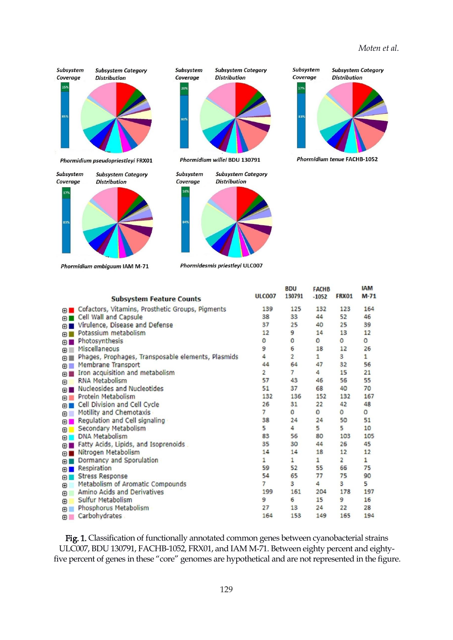#### *Moten et al.*

**IAM** 





Phormidium ambiguum IAM M-71





Phormidesmis priestleyi ULC007

**BDU** 

**FACHB** 



|                | <b>Subsystem Feature Counts</b>                    | <b>ULC007</b>  | 130791         | $-1052$      | FRX01          | $M-71$  |
|----------------|----------------------------------------------------|----------------|----------------|--------------|----------------|---------|
|                | O Cofactors, Vitamins, Prosthetic Groups, Pigments | 139            | 125            | 132          | 123            | 164     |
| ⊕ ■            | Cell Wall and Capsule                              | 38             | 33             | 44           | 52             | 46      |
| 田              | Virulence, Disease and Defense                     | 37             | 25             | 40           | 25             | 39      |
| <b>FRIDA</b>   | Potassium metabolism                               | 12             | 9              | 14           | 13             | 12      |
| ⊕∎             | Photosynthesis                                     | 0              | $\circ$        | 0            | 0              | 0       |
| $\blacksquare$ | Miscellaneous                                      | 9              | 6              | 18           | 12             | 26      |
| $+1$           | Phages, Prophages, Transposable elements, Plasmids | 4              | $\overline{2}$ | $\mathbf{1}$ | 3              | 1       |
| ⊕              | Membrane Transport                                 | 44             | 64             | 47           | 32             | 56      |
| $\blacksquare$ | Iron acquisition and metabolism                    | $\overline{2}$ | 7              | 4            | 15             | 21      |
| 田              | <b>RNA Metabolism</b>                              | 57             | 43             | 46           | 56             | 55      |
| 田口             | Nucleosides and Nucleotides                        | 51             | 37             | 68           | 40             | 70      |
| $\Box$         | Protein Metabolism                                 | 132            | 136            | 152          | 132            | 167     |
| $\blacksquare$ | Cell Division and Cell Cycle                       | 26             | 31             | 22           | 42             | 48      |
| ⊕              | Motility and Chemotaxis                            | 7              | 0              | 0            | 0              | $\circ$ |
| $\blacksquare$ | Regulation and Cell signaling                      | 38             | 24             | 24           | 50             | 51      |
| $\blacksquare$ | Secondary Metabolism                               | 5              | 4              | 5            | 5              | 10      |
| 田              | <b>DNA Metabolism</b>                              | 83             | 56             | 80           | 103            | 105     |
| ⊕∎             | Fatty Acids, Lipids, and Isoprenoids.              | 35             | 30             | 44           | 26             | 45      |
| $\blacksquare$ | Nitrogen Metabolism                                | 14             | 14             | 18           | 12             | 12      |
| ⊕∎             | Dormancy and Sporulation                           | $\mathbf{1}$   | 1              | 1            | $\overline{2}$ | 1       |
|                | <b>B</b> Respiration                               | 59             | 52             | 55           | 66             | 75      |
| 田              | <b>Stress Response</b>                             | 54             | 65             | 77           | 75             | 90      |
| $\circ$        | Metabolism of Aromatic Compounds                   | 7              | 3              | 4            | з              | 5       |
| $^{\circ}$     | Amino Acids and Derivatives                        | 199            | 161            | 204          | 178            | 197     |
| $\circledcirc$ | Sulfur Metabolism                                  | 9              | 6              | 15           | 9              | 16      |
| ⊕              | Phosphorus Metabolism                              | 27             | 13             | 24           | 22             | 28      |
| 田              | Carbohydrates                                      | 164            | 153            | 149          | 165            | 194     |

Fig. 1. Classification of functionally annotated common genes between cyanobacterial strains ULC007, BDU 130791, FACHB-1052, FRX01, and IAM M-71. Between eighty percent and eightyfive percent of genes in these "core" genomes are hypothetical and are not represented in the figure.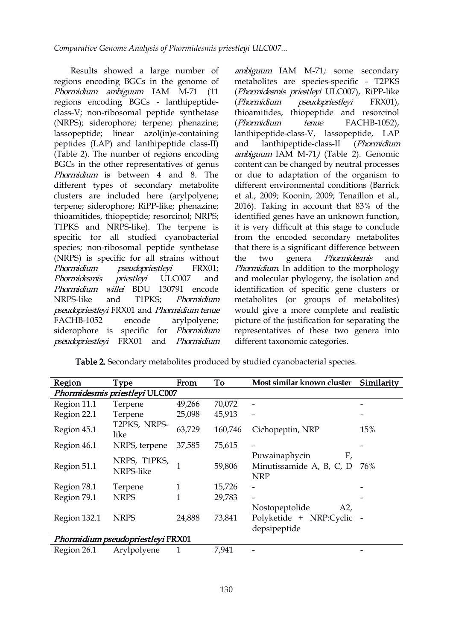Results showed a large number of regions encoding BGCs in the genome of Phormidium ambiguum IAM M-71 (11 regions encoding BGCs - lanthipeptide- (Phormidium class-V; non-ribosomal peptide synthetase (NRPS); siderophore; terpene; phenazine; lassopeptide; linear azol(in)e-containing peptides (LAP) and lanthipeptide class-II) (Table 2). The number of regions encoding BGCs in the other representatives of genus Phormidium is between 4 and 8. The different types of secondary metabolite clusters are included here (arylpolyene; terpene; siderophore; RiPP-like; phenazine; thioamitides, thiopeptide; resorcinol; NRPS; T1PKS and NRPS-like). The terpene is specific for all studied cyanobacterial species; non-ribosomal peptide synthetase (NRPS) is specific for all strains without Phormidium pseudopriestleyi FRX01; Phormidesmis priestleyi ULC007 and and molecular phylogeny, the isolation and Phormidium willei BDU 130791 encode NRPS-like and T1PKS; *Phormidium* metabolites (or groups of metabolites) pseudopriestleyi FRX01 and Phormidium tenue FACHB-1052 encode arylpolyene; siderophore is specific for *Phormidium* pseudopriestleyi FRX01 and Phormidium

ambiguum IAM M-71; some secondary metabolites are species-specific - T2PKS (Phormidesmis priestleyi ULC007), RiPP-like  $pseudopriestlevi$  FRX01), thioamitides, thiopeptide and resorcinol tenue FACHB-1052), lanthipeptide-class-V, lassopeptide, LAP lanthipeptide-class-II (Phormidium ambiguum IAM M-71) (Table 2). Genomic content can be changed by neutral processes or due to adaptation of the organism to different environmental conditions (Barrick et al., 2009; Koonin, 2009; Tenaillon et al., 2016). Taking in account that 83% of the identified genes have an unknown function, it is very difficult at this stage to conclude from the encoded secondary metabolites that there is a significant difference between genera *Phormidesmis* and Phormidium. In addition to the morphology identification of specific gene clusters or would give a more complete and realistic picture of the justification for separating the representatives of these two genera into different taxonomic categories.

| Region       | Type                              | From   | To      | Most similar known cluster                                        | Similarity |
|--------------|-----------------------------------|--------|---------|-------------------------------------------------------------------|------------|
|              | Phormidesmis priestleyi ULC007    |        |         |                                                                   |            |
| Region 11.1  | Terpene                           | 49,266 | 70,072  |                                                                   |            |
| Region 22.1  | Terpene                           | 25,098 | 45,913  |                                                                   |            |
| Region 45.1  | T2PKS, NRPS-<br>like              | 63,729 | 160,746 | Cichopeptin, NRP                                                  | 15%        |
| Region 46.1  | NRPS, terpene                     | 37,585 | 75,615  | $\overline{\phantom{a}}$                                          |            |
| Region 51.1  | NRPS, T1PKS,<br>NRPS-like         |        | 59,806  | Puwainaphycin<br>F,<br>Minutissamide A, B, C, D<br><b>NRP</b>     | 76%        |
| Region 78.1  | Terpene                           |        | 15,726  |                                                                   |            |
| Region 79.1  | <b>NRPS</b>                       |        | 29,783  | $\blacksquare$                                                    |            |
| Region 132.1 | <b>NRPS</b>                       | 24,888 | 73,841  | Nostopeptolide<br>A2<br>Polyketide + NRP:Cyclic -<br>depsipeptide |            |
|              | Phormidium pseudopriestleyi FRX01 |        |         |                                                                   |            |
| Region 26.1  | Arylpolyene                       |        | 7,941   |                                                                   |            |

Table 2. Secondary metabolites produced by studied cyanobacterial species.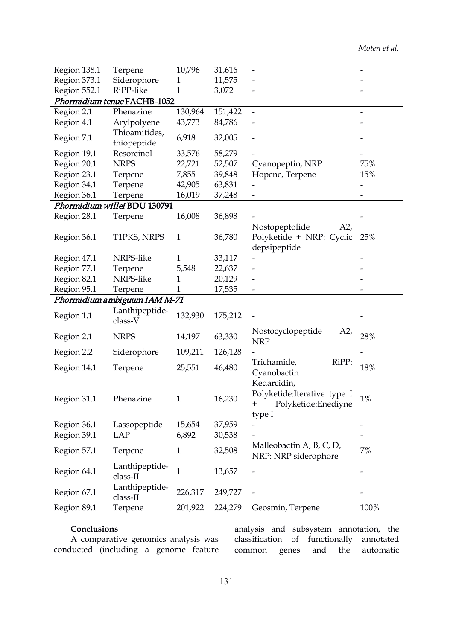| Region 138.1 | Terpene                      | 10,796       | 31,616  |                                                                  |                          |
|--------------|------------------------------|--------------|---------|------------------------------------------------------------------|--------------------------|
| Region 373.1 | Siderophore                  | 1            | 11,575  |                                                                  |                          |
| Region 552.1 | RiPP-like                    | $\mathbf{1}$ | 3,072   |                                                                  |                          |
|              | Phormidium tenue FACHB-1052  |              |         |                                                                  |                          |
| Region 2.1   | Phenazine                    | 130,964      | 151,422 | $\overline{\phantom{a}}$                                         |                          |
| Region 4.1   | Arylpolyene                  | 43,773       | 84,786  |                                                                  |                          |
| Region 7.1   | Thioamitides,<br>thiopeptide | 6,918        | 32,005  |                                                                  |                          |
| Region 19.1  | Resorcinol                   | 33,576       | 58,279  |                                                                  |                          |
| Region 20.1  | <b>NRPS</b>                  | 22,721       | 52,507  | Cyanopeptin, NRP                                                 | 75%                      |
| Region 23.1  | Terpene                      | 7,855        | 39,848  | Hopene, Terpene                                                  | 15%                      |
| Region 34.1  | Terpene                      | 42,905       | 63,831  |                                                                  |                          |
| Region 36.1  | Terpene                      | 16,019       | 37,248  |                                                                  |                          |
|              | Phormidium willei BDU 130791 |              |         |                                                                  |                          |
| Region 28.1  | Terpene                      | 16,008       | 36,898  |                                                                  |                          |
| Region 36.1  | T1PKS, NRPS                  | $\mathbf{1}$ | 36,780  | Nostopeptolide<br>A2<br>Polyketide + NRP: Cyclic<br>depsipeptide | 25%                      |
| Region 47.1  | NRPS-like                    | 1            | 33,117  |                                                                  |                          |
| Region 77.1  | Terpene                      | 5,548        | 22,637  |                                                                  |                          |
| Region 82.1  | NRPS-like                    | 1            | 20,129  |                                                                  |                          |
| Region 95.1  | Terpene                      | 1            | 17,535  |                                                                  |                          |
|              | Phormidium ambiguum IAM M-71 |              |         |                                                                  |                          |
| Region 1.1   | Lanthipeptide-<br>class-V    | 132,930      | 175,212 |                                                                  |                          |
| Region 2.1   | <b>NRPS</b>                  | 14,197       | 63,330  | A2,<br>Nostocyclopeptide<br><b>NRP</b>                           | 28%                      |
| Region 2.2   | Siderophore                  | 109,211      | 126,128 |                                                                  |                          |
| Region 14.1  | Terpene                      | 25,551       | 46,480  | RiPP:<br>Trichamide,<br>Cyanobactin<br>Kedarcidin,               | 18%                      |
| Region 31.1  | Phenazine                    | $\mathbf{1}$ | 16,230  | Polyketide: Iterative type I<br>+ Polyketide:Enediyne            | 1%                       |
|              |                              |              |         | type I                                                           |                          |
| Region 36.1  | Lassopeptide                 | 15,654       | 37,959  |                                                                  | $\overline{\phantom{a}}$ |
| Region 39.1  | <b>LAP</b>                   | 6,892        | 30,538  |                                                                  |                          |
| Region 57.1  | Terpene                      | $\mathbf{1}$ | 32,508  | Malleobactin A, B, C, D,<br>NRP: NRP siderophore                 | 7%                       |
| Region 64.1  | Lanthipeptide-<br>class-II   | $\mathbf{1}$ | 13,657  |                                                                  | $\overline{\phantom{0}}$ |
| Region 67.1  | Lanthipeptide-<br>class-II   | 226,317      | 249,727 |                                                                  |                          |
| Region 89.1  | Terpene                      | 201,922      | 224,279 | Geosmin, Terpene                                                 | 100%                     |

#### **Conclusions**

A comparative genomics analysis was conducted (including a genome feature

analysis and subsystem annotation, the classification of functionally annotated common genes and the automatic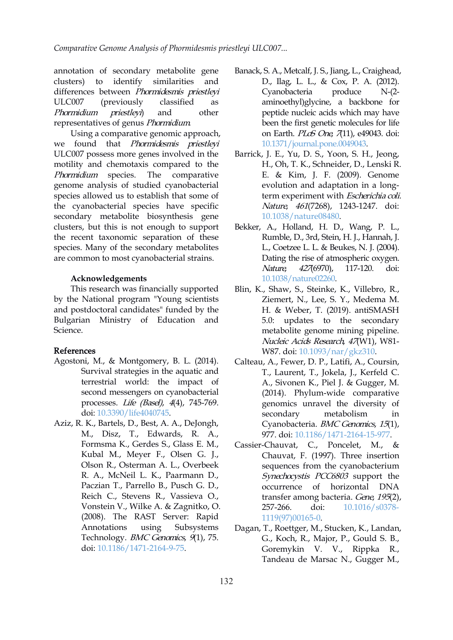annotation of secondary metabolite gene clusters) to identify similarities and D., Ilag, L. L., & Cox, P. A. (2012). differences between Phormidesmis priestleyi ULC007 (previously classified as Phormidium priestleyi) and other representatives of genus Phormidium.

Using a comparative genomic approach, we found that Phormidesmis priestleyi ULC007 possess more genes involved in the motility and chemotaxis compared to the Phormidium species. The comparative genome analysis of studied cyanobacterial species allowed us to establish that some of the cyanobacterial species have specific secondary metabolite biosynthesis gene clusters, but this is not enough to support the recent taxonomic separation of these species. Many of the secondary metabolites are common to most cyanobacterial strains.

#### **Acknowledgements**

This research was financially supported by the National program "Young scientists and postdoctoral candidates" funded by the Bulgarian Ministry of Education and Science.

### References

- Agostoni, M., & Montgomery, B. L. (2014). Survival strategies in the aquatic and terrestrial world: the impact of second messengers on cyanobacterial processes. Life (Basel), <sup>4</sup>(4), 745-769. doi: [10.3390/life4040745](https://doi.org/10.3390/life4040745).
- Aziz, R. K., Bartels, D., Best, A. A., DeJongh, M., Disz, T., Edwards, R. A., Formsma K., Gerdes S., Glass E. M., Kubal M., Meyer F., Olsen G. J., Olson R., Osterman A. L., Overbeek R. A., McNeil L. K., Paarmann D., Paczian T., Parrello B., Pusch G. D., occurrence Reich C., Stevens R., Vassieva O., Vonstein V., Wilke A. & Zagnitko, O. (2008). The RAST Server: Rapid Technology. *BMC Genomics*, 9(1), 75. doi: [10.1186/1471-2164-9-75](https://doi.org/10.1186/1471-2164-9-75).
- Banack, S. A., Metcalf, J. S., Jiang, L., Craighead, Cyanobacteria produce N-(2 aminoethyl)glycine, a backbone for peptide nucleic acids which may have been the first genetic molecules for life on Earth. PLoS One, 7(11), e49043. doi: [10.1371/journal.pone.0049043](https://doi.org/10.1371/journal.pone.0049043).
- Barrick, J. E., Yu, D. S., Yoon, S. H., Jeong, H., Oh, T. K., Schneider, D., Lenski R. E. & Kim, J. F. (2009). Genome evolution and adaptation in a longterm experiment with Escherichia coli. Nature, 461(7268), 1243-1247. doi: [10.1038/nature08480.](https://doi.org/10.1038/nature08480)
- Bekker, A., Holland, H. D., Wang, P. L., Rumble, D., 3rd, Stein, H. J., Hannah, J. L., Coetzee L. L. & Beukes, N. J. (2004). Dating the rise of atmospheric oxygen. Nature, 427(6970), 117-120. doi: [10.1038/nature02260](https://doi.org/10.1038/nature02260).
- Blin, K., Shaw, S., Steinke, K., Villebro, R., Ziemert, N., Lee, S. Y., Medema M. H. & Weber, T. (2019). antiSMASH 5.0: updates to the secondary metabolite genome mining pipeline. Nucleic Acids Research, 47(W1), W81- W87. doi: [10.1093/nar/gkz310.](https://doi.org/10.1093/nar/gkz310)
- Calteau, A., Fewer, D. P., Latifi, A., Coursin, T., Laurent, T., Jokela, J., Kerfeld C. A., Sivonen K., Piel J. & Gugger, M. (2014). Phylum-wide comparative genomics unravel the diversity of secondary metabolism in Cyanobacteria. BMC Genomics, 15(1), 977. doi: [10.1186/1471-2164-15-977.](https://doi.org/10.1186/1471-2164-15-977)
- C., Poncelet, M., & Chauvat, F. (1997). Three insertion sequences from the cyanobacterium Synechocystis PCC6803 support the of horizontal DNA transfer among bacteria. Gene, 195(2), doi: [10.1016/s0378-](https://doi.org/10.1016/s0378-1119(97)00165-0) 1119(97)00165-0.
- Annotations using Subsystems Dagan, T., Roettger, M., Stucken, K., Landan, G., Koch, R., Major, P., Gould S. B., Goremykin V. V., Rippka R., Tandeau de Marsac N., Gugger M.,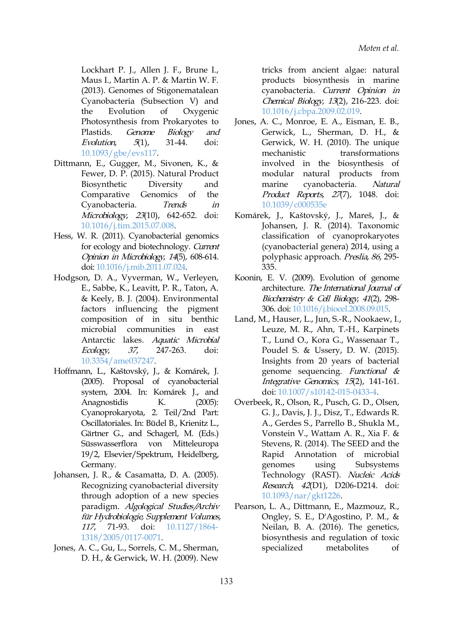Lockhart P. J., Allen J. F., Brune I., Maus I., Martin A. P. & Martin W. F. (2013). Genomes of Stigonematalean Cyanobacteria (Subsection V) and the Evolution of Oxygenic Photosynthesis from Prokaryotes to Evolution,  $5(1)$ , 31-44. doi: [10.1093/gbe/evs117](https://doi.org/10.1093/gbe/evs117).

- Dittmann, E., Gugger, M., Sivonen, K., & Fewer, D. P. (2015). Natural Product modular Biosynthetic Diversity and Comparative Genomics of the Cyanobacteria. Trends in Microbiology, 23(10), 642-652. doi: [10.1016/j.tim.2015.07.008.](https://doi.org/10.1016/j.tim.2015.07.008)
- Hess, W. R. (2011). Cyanobacterial genomics for ecology and biotechnology. Current Opinion in Microbiology, <sup>14</sup>(5), 608-614. doi: [10.1016/j.mib.2011.07.024.](https://doi.org/10.1016/j.mib.2011.07.024)
- Hodgson, D. A., Vyverman, W., Verleyen, E., Sabbe, K., Leavitt, P. R., Taton, A. & Keely, B. J. (2004). Environmental factors influencing the pigment composition of in situ benthic microbial communities in east Antarctic lakes. Aquatic Microbial Ecology, <sup>37</sup>, 247-263. doi: [10.3354/ame037247.](https://doi.org/10.3354/ame037247)
- Hoffmann, L., Kaštovský, J., & Komárek, J. (2005). Proposal of cyanobacterial system, 2004. In: Komárek J., and Anagnostidis K. (2005): Cyanoprokaryota, 2. Teil/2nd Part: Oscillatoriales. In: Büdel B., Krienitz L., Gärtner G., and Schagerl, M. (Eds.) Süsswasserflora von Mitteleuropa 19/2, Elsevier/Spektrum, Heidelberg, Germany.
- Johansen, J. R., & Casamatta, D. A. (2005). Recognizing cyanobacterial diversity through adoption of a new species paradigm. Algological Studies/Archiv für Hydrobiologie, Supplement Volumes, 1318/2005/0117-0071.
- Jones, A. C., Gu, L., Sorrels, C. M., Sherman, D. H., & Gerwick, W. H. (2009). New

tricks from ancient algae: natural products biosynthesis in marine cyanobacteria. Current Opinion in Chemical Biology, <sup>13</sup>(2), 216-223. doi: [10.1016/j.cbpa.2009.02.019.](https://doi.org/10.1016/j.cbpa.2009.02.019)

- Plastids. *Genome Biology and* Gerwick, L., Sherman, D. H., & Jones, A. C., Monroe, E. A., Eisman, E. B., Gerwick, W. H. (2010). The unique mechanistic transformations involved in the biosynthesis of natural products from cyanobacteria. Natural Product Reports, 27(7), 1048. doi: [10.1039/c000535e](https://doi.org/10.1039/c000535e)
	- Komárek, J., Kaštovský, J., Mareš, J., & Johansen, J. R. (2014). Taxonomic classification of cyanoprokaryotes (cyanobacterial genera) 2014, using a polyphasic approach. Preslia, 86, 295- 335.
	- Koonin, E. V. (2009). Evolution of genome architecture. The International Journal of Biochemistry & Cell Biology, <sup>41</sup>(2), 298- 306. doi: [10.1016/j.biocel.2008.09.015](https://doi.org/10.1016/j.biocel.2008.09.015).
	- Land, M., Hauser, L., Jun, S.-R., Nookaew, I., Leuze, M. R., Ahn, T.-H., Karpinets T., Lund O., Kora G., Wassenaar T., Poudel S. & Ussery, D. W. (2015). Insights from 20 years of bacterial genome sequencing. Functional & Integrative Genomics, <sup>15</sup>(2), 141-161. doi: [10.1007/s10142-015-0433-4](https://doi.org/10.1007/s10142-015-0433-4).
	- Overbeek, R., Olson, R., Pusch, G. D., Olsen, G. J., Davis, J. J., Disz, T., Edwards R. A., Gerdes S., Parrello B., Shukla M., Vonstein V., Wattam A. R., Xia F. & Stevens, R. (2014). The SEED and the Rapid Annotation of microbial genomes using Subsystems Technology (RAST). Nucleic Acids Research, 42(D1), D206-D214. doi: [10.1093/nar/gkt1226](https://doi.org/10.1093/nar/gkt1226).
- 117, 71-93. doi: [10.1127/1864-](https://doi.org/10.1127/1864-1318/2005/0117-0071) Neilan, B. A. (2016). The genetics, Pearson, L. A., Dittmann, E., Mazmouz, R., Ongley, S. E., D'Agostino, P. M., & biosynthesis and regulation of toxic specialized metabolites of